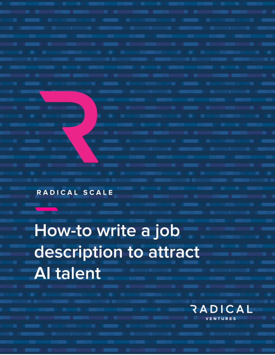RADICAL SCALE

How-to write a job description to attract **Al talent** 

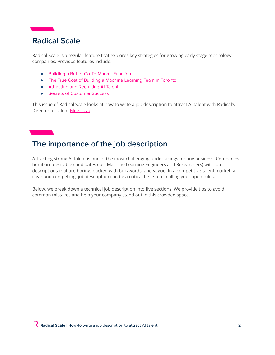

Radical Scale is a regular feature that explores key strategies for growing early stage technology companies. Previous features include:

- Building a Better [Go-To-Market](https://radical.vc/radical-scale-building-a-better-go-to-market-function) Function
- The True Cost of Building a Machine [Learning](https://radical.vc/radical-scale-the-true-cost-of-building-a-machine-learning-team-in-toronto) Team in Toronto
- Attracting and [Recruiting](https://radical.vc/radical-scale-attracting-and-recruiting-ai-talent) AI Talent
- Secrets of [Customer](https://radical.vc/radical-scale-secrets-of-customer-success) Success

This issue of Radical Scale looks at how to write a job description to attract AI talent with Radical's Director of Talent Meg [Lizza](https://radical.vc/#team).

# **The importance of the job description**

Attracting strong AI talent is one of the most challenging undertakings for any business. Companies bombard desirable candidates (i.e., Machine Learning Engineers and Researchers) with job descriptions that are boring, packed with buzzwords, and vague. In a competitive talent market, a clear and compelling job description can be a critical first step in filling your open roles.

Below, we break down a technical job description into five sections. We provide tips to avoid common mistakes and help your company stand out in this crowded space.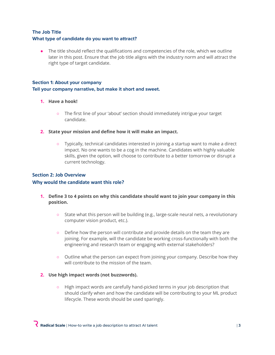#### **The Job Title What type of candidate do you want to attract?**

• The title should reflect the qualifications and competencies of the role, which we outline later in this post. Ensure that the job title aligns with the industry norm and will attract the right type of target candidate.

## **Section 1: About your company**

#### **Tell your company narrative, but make it short and sweet.**

- **1. Have a hook!**
	- The first line of your 'about' section should immediately intrigue your target candidate.
- **2. State your mission and define how it will make an impact.**
	- Typically, technical candidates interested in joining a startup want to make a direct impact. No one wants to be a cog in the machine. Candidates with highly valuable skills, given the option, will choose to contribute to a better tomorrow or disrupt a current technology.

### **Section 2: Job Overview Why would the candidate want this role?**

- **1. Define 3 to 4 points on why this candidate should want to join your company in this position.**
	- State what this person will be building (e.g., large-scale neural nets, a revolutionary computer vision product, etc.).
	- Define how the person will contribute and provide details on the team they are joining. For example, will the candidate be working cross-functionally with both the engineering and research team or engaging with external stakeholders?
	- Outline what the person can expect from joining your company. Describe how they will contribute to the mission of the team.

#### **2. Use high impact words (not buzzwords).**

○ High impact words are carefully hand-picked terms in your job description that should clarify when and how the candidate will be contributing to your ML product lifecycle. These words should be used sparingly.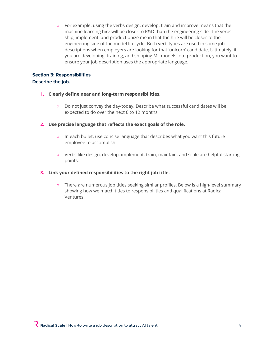○ For example, using the verbs design, develop, train and improve means that the machine learning hire will be closer to R&D than the engineering side. The verbs ship, implement, and productionize mean that the hire will be closer to the engineering side of the model lifecycle. Both verb types are used in some job descriptions when employers are looking for that 'unicorn' candidate. Ultimately, if you are developing, training, and shipping ML models into production, you want to ensure your job description uses the appropriate language.

#### **Section 3: Responsibilities Describe the job.**

- **1. Clearly define near and long-term responsibilities.**
	- Do not just convey the day-today. Describe what successful candidates will be expected to do over the next 6 to 12 months.
- **2. Use precise language that reflects the exact goals of the role.**
	- In each bullet, use concise language that describes what you want this future employee to accomplish.
	- Verbs like design, develop, implement, train, maintain, and scale are helpful starting points.

#### **3. Link your defined responsibilities to the right job title.**

○ There are numerous job titles seeking similar profiles. Below is a high-level summary showing how we match titles to responsibilities and qualifications at Radical Ventures.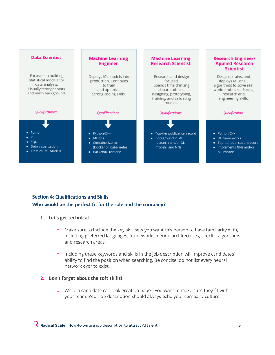

### **Section 4: Qualifications and Skills Who would be the perfect fit for the role and the company?**

#### **1. Let's get technical**

- Make sure to include the key skill sets you want this person to have familiarity with, including preferred languages, frameworks, neural architectures, specific algorithms, and research areas.
- Including these keywords and skills in the job description will improve candidates' ability to find the position when searching. Be concise, do not list every neural network ever to exist.

#### **2. Don't forget about the soft skills!**

○ While a candidate can look great on paper, you want to make sure they fit within your team. Your job description should always echo your company culture.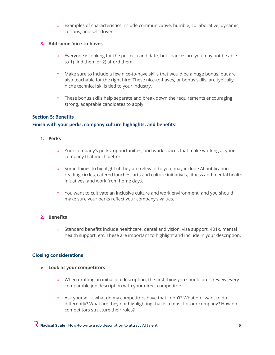○ Examples of characteristics include communicative, humble, collaborative, dynamic, curious, and self-driven.

#### **3. Add some 'nice-to-haves'**

- Everyone is looking for the perfect candidate, but chances are you may not be able to 1) find them or 2) afford them.
- Make sure to include a few nice-to-have skills that would be a huge bonus, but are also teachable for the right hire. These nice-to-haves, or bonus skills, are typically niche technical skills tied to your industry.
- These bonus skills help separate and break down the requirements encouraging strong, adaptable candidates to apply.

#### **Section 5: Benefits**

#### **Finish with your perks, company culture highlights, and benefits!**

#### **1. Perks**

- Your company's perks, opportunities, and work spaces that make working at your company that much better.
- Some things to highlight (if they are relevant to you) may include AI publication reading circles, catered lunches, arts and culture initiatives, fitness and mental health initiatives, and work from home days.
- You want to cultivate an inclusive culture and work environment, and you should make sure your perks reflect your company's values.

#### **2. Benefits**

○ Standard benefits include healthcare, dental and vision, visa support, 401k, mental health support, etc. These are important to highlight and include in your description.

#### **Closing considerations**

- **● Look at your competitors**
	- When drafting an initial job description, the first thing you should do is review every comparable job description with your direct competitors.
	- Ask yourself what do my competitors have that I don't? What do I want to do differently? What are they not highlighting that is a must for our company? How do competitors structure their roles?